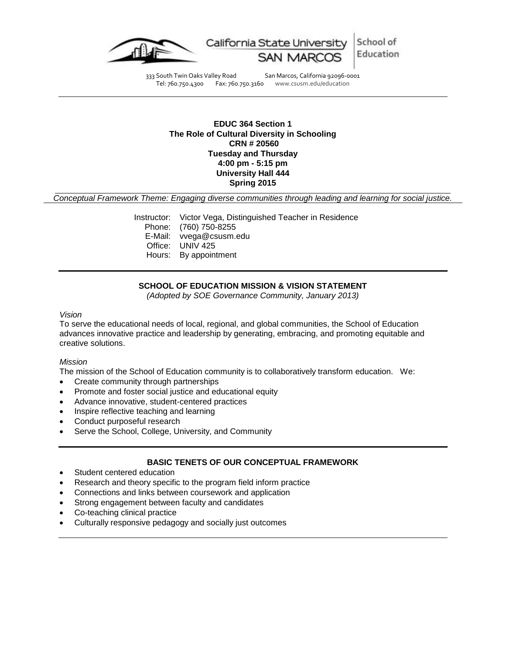

333 South Twin Oaks Valley Road San Marcos, California 92096-0001 Tel: 760.750.4300 Fax: 760.750.3160 www.csusm.edu/education

# **EDUC 364 Section 1 The Role of Cultural Diversity in Schooling CRN # 20560 Tuesday and Thursday 4:00 pm - 5:15 pm University Hall 444 Spring 2015**

*Conceptual Framework Theme: Engaging diverse communities through leading and learning for social justice.*

Instructor: Victor Vega, Distinguished Teacher in Residence Phone: (760) 750-8255 E-Mail: vvega@csusm.edu Office: UNIV 425 Hours: By appointment

# **SCHOOL OF EDUCATION MISSION & VISION STATEMENT**

*(Adopted by SOE Governance Community, January 2013)*

#### *Vision*

To serve the educational needs of local, regional, and global communities, the School of Education advances innovative practice and leadership by generating, embracing, and promoting equitable and creative solutions.

### *Mission*

The mission of the School of Education community is to collaboratively transform education. We:

- Create community through partnerships
- Promote and foster social justice and educational equity
- Advance innovative, student-centered practices
- Inspire reflective teaching and learning
- Conduct purposeful research
- Serve the School, College, University, and Community

### **BASIC TENETS OF OUR CONCEPTUAL FRAMEWORK**

- Student centered education
- Research and theory specific to the program field inform practice
- Connections and links between coursework and application
- Strong engagement between faculty and candidates
- Co-teaching clinical practice
- Culturally responsive pedagogy and socially just outcomes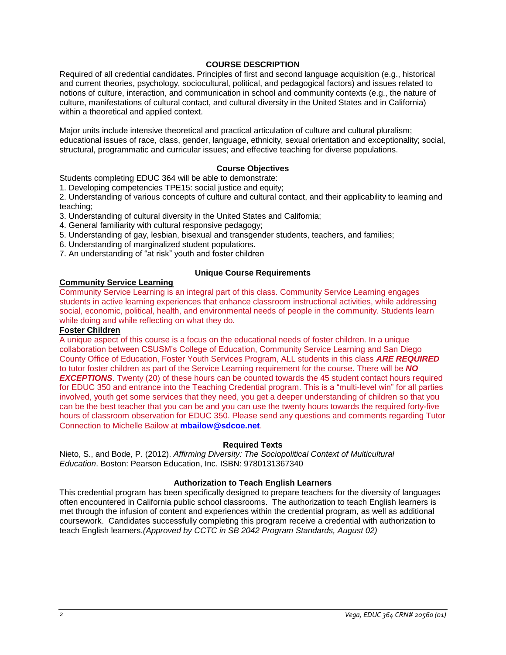# **COURSE DESCRIPTION**

Required of all credential candidates. Principles of first and second language acquisition (e.g., historical and current theories, psychology, sociocultural, political, and pedagogical factors) and issues related to notions of culture, interaction, and communication in school and community contexts (e.g., the nature of culture, manifestations of cultural contact, and cultural diversity in the United States and in California) within a theoretical and applied context.

Major units include intensive theoretical and practical articulation of culture and cultural pluralism; educational issues of race, class, gender, language, ethnicity, sexual orientation and exceptionality; social, structural, programmatic and curricular issues; and effective teaching for diverse populations.

# **Course Objectives**

Students completing EDUC 364 will be able to demonstrate:

1. Developing competencies TPE15: social justice and equity;

2. Understanding of various concepts of culture and cultural contact, and their applicability to learning and teaching;

- 3. Understanding of cultural diversity in the United States and California;
- 4. General familiarity with cultural responsive pedagogy;
- 5. Understanding of gay, lesbian, bisexual and transgender students, teachers, and families;
- 6. Understanding of marginalized student populations.
- 7. An understanding of "at risk" youth and foster children

# **Unique Course Requirements**

# **Community Service Learning**

Community Service Learning is an integral part of this class. Community Service Learning engages students in active learning experiences that enhance classroom instructional activities, while addressing social, economic, political, health, and environmental needs of people in the community. Students learn while doing and while reflecting on what they do.

# **Foster Children**

A unique aspect of this course is a focus on the educational needs of foster children. In a unique collaboration between CSUSM's College of Education, Community Service Learning and San Diego County Office of Education, Foster Youth Services Program, ALL students in this class *ARE REQUIRED*  to tutor foster children as part of the Service Learning requirement for the course. There will be *NO*  **EXCEPTIONS**. Twenty (20) of these hours can be counted towards the 45 student contact hours required for EDUC 350 and entrance into the Teaching Credential program. This is a "multi-level win" for all parties involved, youth get some services that they need, you get a deeper understanding of children so that you can be the best teacher that you can be and you can use the twenty hours towards the required forty-five hours of classroom observation for EDUC 350. Please send any questions and comments regarding Tutor Connection to Michelle Bailow at **mbailow@sdcoe.net**.

### **Required Texts**

Nieto, S., and Bode, P. (2012). *Affirming Diversity: The Sociopolitical Context of Multicultural Education*. Boston: Pearson Education, Inc. ISBN: 9780131367340

# **Authorization to Teach English Learners**

This credential program has been specifically designed to prepare teachers for the diversity of languages often encountered in California public school classrooms. The authorization to teach English learners is met through the infusion of content and experiences within the credential program, as well as additional coursework. Candidates successfully completing this program receive a credential with authorization to teach English learners.*(Approved by CCTC in SB 2042 Program Standards, August 02)*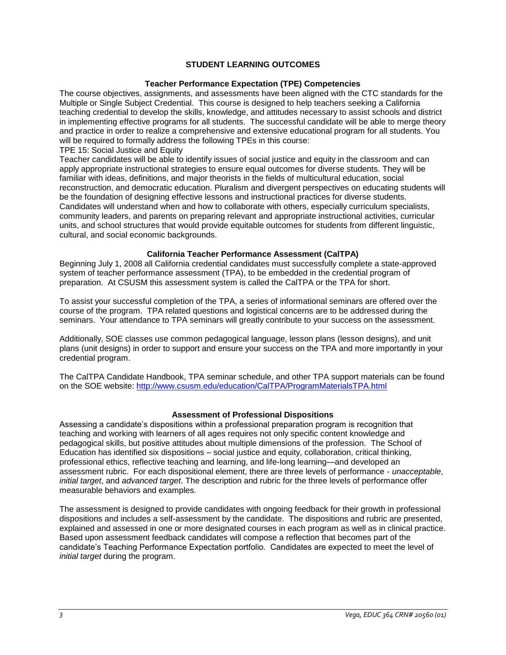# **STUDENT LEARNING OUTCOMES**

### **Teacher Performance Expectation (TPE) Competencies**

The course objectives, assignments, and assessments have been aligned with the CTC standards for the Multiple or Single Subject Credential. This course is designed to help teachers seeking a California teaching credential to develop the skills, knowledge, and attitudes necessary to assist schools and district in implementing effective programs for all students. The successful candidate will be able to merge theory and practice in order to realize a comprehensive and extensive educational program for all students. You will be required to formally address the following TPEs in this course:

TPE 15: Social Justice and Equity

Teacher candidates will be able to identify issues of social justice and equity in the classroom and can apply appropriate instructional strategies to ensure equal outcomes for diverse students. They will be familiar with ideas, definitions, and major theorists in the fields of multicultural education, social reconstruction, and democratic education. Pluralism and divergent perspectives on educating students will be the foundation of designing effective lessons and instructional practices for diverse students. Candidates will understand when and how to collaborate with others, especially curriculum specialists, community leaders, and parents on preparing relevant and appropriate instructional activities, curricular units, and school structures that would provide equitable outcomes for students from different linguistic, cultural, and social economic backgrounds.

### **California Teacher Performance Assessment (CalTPA)**

Beginning July 1, 2008 all California credential candidates must successfully complete a state-approved system of teacher performance assessment (TPA), to be embedded in the credential program of preparation. At CSUSM this assessment system is called the CalTPA or the TPA for short.

To assist your successful completion of the TPA, a series of informational seminars are offered over the course of the program. TPA related questions and logistical concerns are to be addressed during the seminars. Your attendance to TPA seminars will greatly contribute to your success on the assessment.

Additionally, SOE classes use common pedagogical language, lesson plans (lesson designs), and unit plans (unit designs) in order to support and ensure your success on the TPA and more importantly in your credential program.

The CalTPA Candidate Handbook, TPA seminar schedule, and other TPA support materials can be found on the SOE website: <http://www.csusm.edu/education/CalTPA/ProgramMaterialsTPA.html>

### **Assessment of Professional Dispositions**

Assessing a candidate's dispositions within a professional preparation program is recognition that teaching and working with learners of all ages requires not only specific content knowledge and pedagogical skills, but positive attitudes about multiple dimensions of the profession. The School of Education has identified six dispositions – social justice and equity, collaboration, critical thinking, professional ethics, reflective teaching and learning, and life-long learning—and developed an assessment rubric. For each dispositional element, there are three levels of performance - *unacceptable*, *initial target*, and *advanced target*. The description and rubric for the three levels of performance offer measurable behaviors and examples.

The assessment is designed to provide candidates with ongoing feedback for their growth in professional dispositions and includes a self-assessment by the candidate. The dispositions and rubric are presented, explained and assessed in one or more designated courses in each program as well as in clinical practice. Based upon assessment feedback candidates will compose a reflection that becomes part of the candidate's Teaching Performance Expectation portfolio. Candidates are expected to meet the level of *initial target* during the program.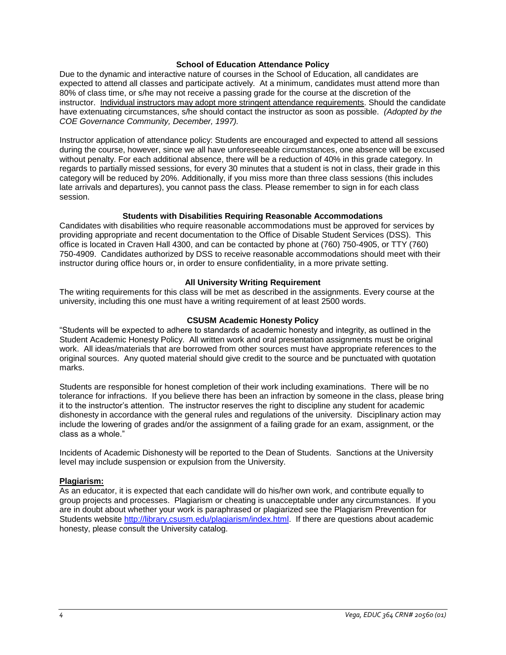### **School of Education Attendance Policy**

Due to the dynamic and interactive nature of courses in the School of Education, all candidates are expected to attend all classes and participate actively. At a minimum, candidates must attend more than 80% of class time, or s/he may not receive a passing grade for the course at the discretion of the instructor. Individual instructors may adopt more stringent attendance requirements. Should the candidate have extenuating circumstances, s/he should contact the instructor as soon as possible. *(Adopted by the COE Governance Community, December, 1997).*

Instructor application of attendance policy: Students are encouraged and expected to attend all sessions during the course, however, since we all have unforeseeable circumstances, one absence will be excused without penalty. For each additional absence, there will be a reduction of 40% in this grade category. In regards to partially missed sessions, for every 30 minutes that a student is not in class, their grade in this category will be reduced by 20%. Additionally, if you miss more than three class sessions (this includes late arrivals and departures), you cannot pass the class. Please remember to sign in for each class session.

#### **Students with Disabilities Requiring Reasonable Accommodations**

Candidates with disabilities who require reasonable accommodations must be approved for services by providing appropriate and recent documentation to the Office of Disable Student Services (DSS). This office is located in Craven Hall 4300, and can be contacted by phone at (760) 750-4905, or TTY (760) 750-4909. Candidates authorized by DSS to receive reasonable accommodations should meet with their instructor during office hours or, in order to ensure confidentiality, in a more private setting.

#### **All University Writing Requirement**

The writing requirements for this class will be met as described in the assignments. Every course at the university, including this one must have a writing requirement of at least 2500 words.

#### **CSUSM Academic Honesty Policy**

"Students will be expected to adhere to standards of academic honesty and integrity, as outlined in the Student Academic Honesty Policy. All written work and oral presentation assignments must be original work. All ideas/materials that are borrowed from other sources must have appropriate references to the original sources. Any quoted material should give credit to the source and be punctuated with quotation marks.

Students are responsible for honest completion of their work including examinations. There will be no tolerance for infractions. If you believe there has been an infraction by someone in the class, please bring it to the instructor's attention. The instructor reserves the right to discipline any student for academic dishonesty in accordance with the general rules and regulations of the university. Disciplinary action may include the lowering of grades and/or the assignment of a failing grade for an exam, assignment, or the class as a whole."

Incidents of Academic Dishonesty will be reported to the Dean of Students. Sanctions at the University level may include suspension or expulsion from the University.

#### **Plagiarism:**

As an educator, it is expected that each candidate will do his/her own work, and contribute equally to group projects and processes. Plagiarism or cheating is unacceptable under any circumstances. If you are in doubt about whether your work is paraphrased or plagiarized see the Plagiarism Prevention for Students website [http://library.csusm.edu/plagiarism/index.html.](http://library.csusm.edu/plagiarism/index.html) If there are questions about academic honesty, please consult the University catalog.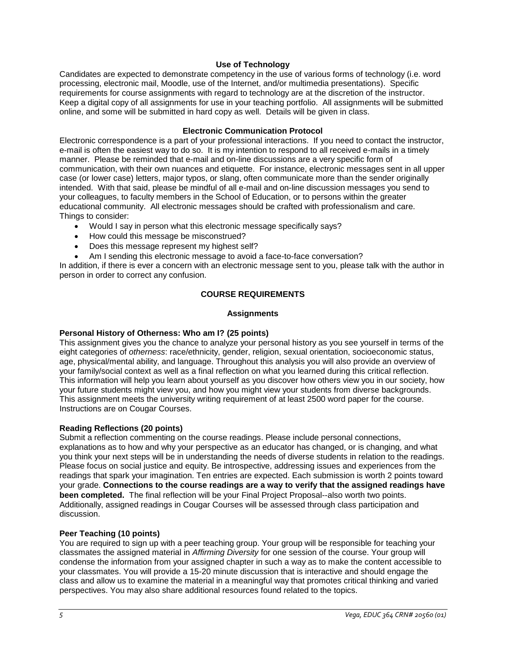### **Use of Technology**

Candidates are expected to demonstrate competency in the use of various forms of technology (i.e. word processing, electronic mail, Moodle, use of the Internet, and/or multimedia presentations). Specific requirements for course assignments with regard to technology are at the discretion of the instructor. Keep a digital copy of all assignments for use in your teaching portfolio. All assignments will be submitted online, and some will be submitted in hard copy as well. Details will be given in class.

### **Electronic Communication Protocol**

Electronic correspondence is a part of your professional interactions. If you need to contact the instructor, e-mail is often the easiest way to do so. It is my intention to respond to all received e-mails in a timely manner. Please be reminded that e-mail and on-line discussions are a very specific form of communication, with their own nuances and etiquette. For instance, electronic messages sent in all upper case (or lower case) letters, major typos, or slang, often communicate more than the sender originally intended. With that said, please be mindful of all e-mail and on-line discussion messages you send to your colleagues, to faculty members in the School of Education, or to persons within the greater educational community. All electronic messages should be crafted with professionalism and care. Things to consider:

- Would I say in person what this electronic message specifically says?
- How could this message be misconstrued?
- Does this message represent my highest self?
- Am I sending this electronic message to avoid a face-to-face conversation?

In addition, if there is ever a concern with an electronic message sent to you, please talk with the author in person in order to correct any confusion.

# **COURSE REQUIREMENTS**

### **Assignments**

# **Personal History of Otherness: Who am I? (25 points)**

This assignment gives you the chance to analyze your personal history as you see yourself in terms of the eight categories of *otherness*: race/ethnicity, gender, religion, sexual orientation, socioeconomic status, age, physical/mental ability, and language. Throughout this analysis you will also provide an overview of your family/social context as well as a final reflection on what you learned during this critical reflection. This information will help you learn about yourself as you discover how others view you in our society, how your future students might view you, and how you might view your students from diverse backgrounds. This assignment meets the university writing requirement of at least 2500 word paper for the course. Instructions are on Cougar Courses.

# **Reading Reflections (20 points)**

Submit a reflection commenting on the course readings. Please include personal connections, explanations as to how and why your perspective as an educator has changed, or is changing, and what you think your next steps will be in understanding the needs of diverse students in relation to the readings. Please focus on social justice and equity. Be introspective, addressing issues and experiences from the readings that spark your imagination. Ten entries are expected. Each submission is worth 2 points toward your grade. **Connections to the course readings are a way to verify that the assigned readings have been completed.** The final reflection will be your Final Project Proposal--also worth two points. Additionally, assigned readings in Cougar Courses will be assessed through class participation and discussion.

### **Peer Teaching (10 points)**

You are required to sign up with a peer teaching group. Your group will be responsible for teaching your classmates the assigned material in *Affirming Diversity* for one session of the course. Your group will condense the information from your assigned chapter in such a way as to make the content accessible to your classmates. You will provide a 15-20 minute discussion that is interactive and should engage the class and allow us to examine the material in a meaningful way that promotes critical thinking and varied perspectives. You may also share additional resources found related to the topics.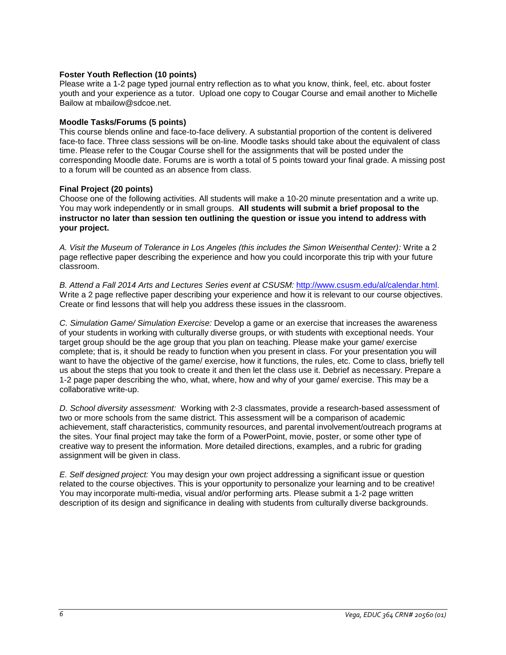# **Foster Youth Reflection (10 points)**

Please write a 1-2 page typed journal entry reflection as to what you know, think, feel, etc. about foster youth and your experience as a tutor. Upload one copy to Cougar Course and email another to Michelle Bailow at mbailow@sdcoe.net.

### **Moodle Tasks/Forums (5 points)**

This course blends online and face-to-face delivery. A substantial proportion of the content is delivered face-to face. Three class sessions will be on-line. Moodle tasks should take about the equivalent of class time. Please refer to the Cougar Course shell for the assignments that will be posted under the corresponding Moodle date. Forums are is worth a total of 5 points toward your final grade. A missing post to a forum will be counted as an absence from class.

# **Final Project (20 points)**

Choose one of the following activities. All students will make a 10-20 minute presentation and a write up. You may work independently or in small groups. **All students will submit a brief proposal to the instructor no later than session ten outlining the question or issue you intend to address with your project.**

*A. Visit the Museum of Tolerance in Los Angeles (this includes the Simon Weisenthal Center):* Write a 2 page reflective paper describing the experience and how you could incorporate this trip with your future classroom.

*B. Attend a Fall 2014 Arts and Lectures Series event at CSUSM:* [http://www.csusm.edu/al/calendar.html.](http://www.csusm.edu/al/calendar.html) Write a 2 page reflective paper describing your experience and how it is relevant to our course objectives. Create or find lessons that will help you address these issues in the classroom.

*C. Simulation Game/ Simulation Exercise:* Develop a game or an exercise that increases the awareness of your students in working with culturally diverse groups, or with students with exceptional needs. Your target group should be the age group that you plan on teaching. Please make your game/ exercise complete; that is, it should be ready to function when you present in class. For your presentation you will want to have the objective of the game/ exercise, how it functions, the rules, etc. Come to class, briefly tell us about the steps that you took to create it and then let the class use it. Debrief as necessary. Prepare a 1-2 page paper describing the who, what, where, how and why of your game/ exercise. This may be a collaborative write-up.

*D. School diversity assessment:* Working with 2-3 classmates, provide a research-based assessment of two or more schools from the same district. This assessment will be a comparison of academic achievement, staff characteristics, community resources, and parental involvement/outreach programs at the sites. Your final project may take the form of a PowerPoint, movie, poster, or some other type of creative way to present the information. More detailed directions, examples, and a rubric for grading assignment will be given in class.

*E. Self designed project:* You may design your own project addressing a significant issue or question related to the course objectives. This is your opportunity to personalize your learning and to be creative! You may incorporate multi-media, visual and/or performing arts. Please submit a 1-2 page written description of its design and significance in dealing with students from culturally diverse backgrounds.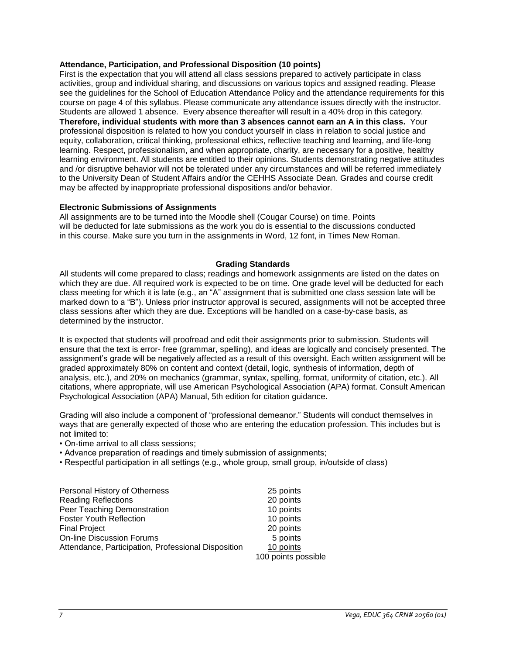#### **Attendance, Participation, and Professional Disposition (10 points)**

First is the expectation that you will attend all class sessions prepared to actively participate in class activities, group and individual sharing, and discussions on various topics and assigned reading. Please see the guidelines for the School of Education Attendance Policy and the attendance requirements for this course on page 4 of this syllabus. Please communicate any attendance issues directly with the instructor. Students are allowed 1 absence. Every absence thereafter will result in a 40% drop in this category. **Therefore, individual students with more than 3 absences cannot earn an A in this class.** Your professional disposition is related to how you conduct yourself in class in relation to social justice and equity, collaboration, critical thinking, professional ethics, reflective teaching and learning, and life-long learning. Respect, professionalism, and when appropriate, charity, are necessary for a positive, healthy learning environment. All students are entitled to their opinions. Students demonstrating negative attitudes and /or disruptive behavior will not be tolerated under any circumstances and will be referred immediately to the University Dean of Student Affairs and/or the CEHHS Associate Dean. Grades and course credit may be affected by inappropriate professional dispositions and/or behavior.

#### **Electronic Submissions of Assignments**

All assignments are to be turned into the Moodle shell (Cougar Course) on time. Points will be deducted for late submissions as the work you do is essential to the discussions conducted in this course. Make sure you turn in the assignments in Word, 12 font, in Times New Roman.

#### **Grading Standards**

All students will come prepared to class; readings and homework assignments are listed on the dates on which they are due. All required work is expected to be on time. One grade level will be deducted for each class meeting for which it is late (e.g., an "A" assignment that is submitted one class session late will be marked down to a "B"). Unless prior instructor approval is secured, assignments will not be accepted three class sessions after which they are due. Exceptions will be handled on a case-by-case basis, as determined by the instructor.

It is expected that students will proofread and edit their assignments prior to submission. Students will ensure that the text is error- free (grammar, spelling), and ideas are logically and concisely presented. The assignment's grade will be negatively affected as a result of this oversight. Each written assignment will be graded approximately 80% on content and context (detail, logic, synthesis of information, depth of analysis, etc.), and 20% on mechanics (grammar, syntax, spelling, format, uniformity of citation, etc.). All citations, where appropriate, will use American Psychological Association (APA) format. Consult American Psychological Association (APA) Manual, 5th edition for citation guidance.

Grading will also include a component of "professional demeanor." Students will conduct themselves in ways that are generally expected of those who are entering the education profession. This includes but is not limited to:

- On-time arrival to all class sessions;
- Advance preparation of readings and timely submission of assignments;
- Respectful participation in all settings (e.g., whole group, small group, in/outside of class)

| Personal History of Otherness                       | 25 points           |
|-----------------------------------------------------|---------------------|
| <b>Reading Reflections</b>                          | 20 points           |
| Peer Teaching Demonstration                         | 10 points           |
| <b>Foster Youth Reflection</b>                      | 10 points           |
| <b>Final Project</b>                                | 20 points           |
| <b>On-line Discussion Forums</b>                    | 5 points            |
| Attendance, Participation, Professional Disposition | 10 points           |
|                                                     | 100 points possible |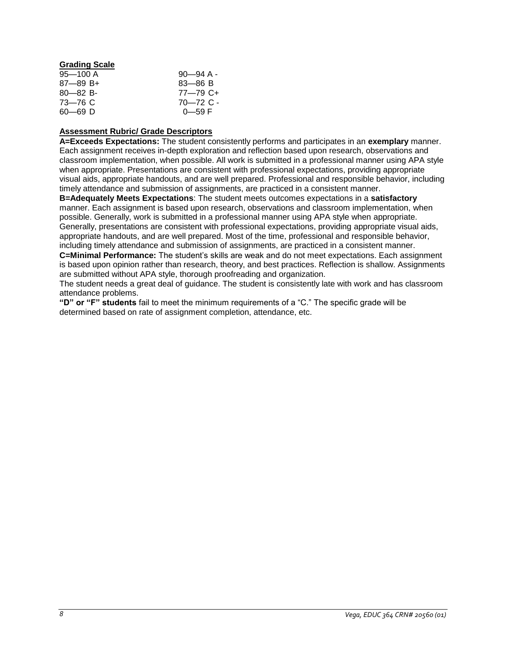# **Grading Scale**

| $95 - 100$ A  | $90 - 94$ A - |
|---------------|---------------|
| $87 - 89 B +$ | $83 - 86 B$   |
| $80 - 82 B$   | 77—79 C+      |
| 73—76 C       | 70–72 C -     |
| 60—69 D       | $0 - 59 F$    |

# **Assessment Rubric/ Grade Descriptors**

**A=Exceeds Expectations:** The student consistently performs and participates in an **exemplary** manner. Each assignment receives in-depth exploration and reflection based upon research, observations and classroom implementation, when possible. All work is submitted in a professional manner using APA style when appropriate. Presentations are consistent with professional expectations, providing appropriate visual aids, appropriate handouts, and are well prepared. Professional and responsible behavior, including timely attendance and submission of assignments, are practiced in a consistent manner. **B=Adequately Meets Expectations**: The student meets outcomes expectations in a **satisfactory** manner. Each assignment is based upon research, observations and classroom implementation, when possible. Generally, work is submitted in a professional manner using APA style when appropriate. Generally, presentations are consistent with professional expectations, providing appropriate visual aids, appropriate handouts, and are well prepared. Most of the time, professional and responsible behavior, including timely attendance and submission of assignments, are practiced in a consistent manner.

**C=Minimal Performance:** The student's skills are weak and do not meet expectations. Each assignment is based upon opinion rather than research, theory, and best practices. Reflection is shallow. Assignments are submitted without APA style, thorough proofreading and organization.

The student needs a great deal of guidance. The student is consistently late with work and has classroom attendance problems.

**"D" or "F" students** fail to meet the minimum requirements of a "C." The specific grade will be determined based on rate of assignment completion, attendance, etc.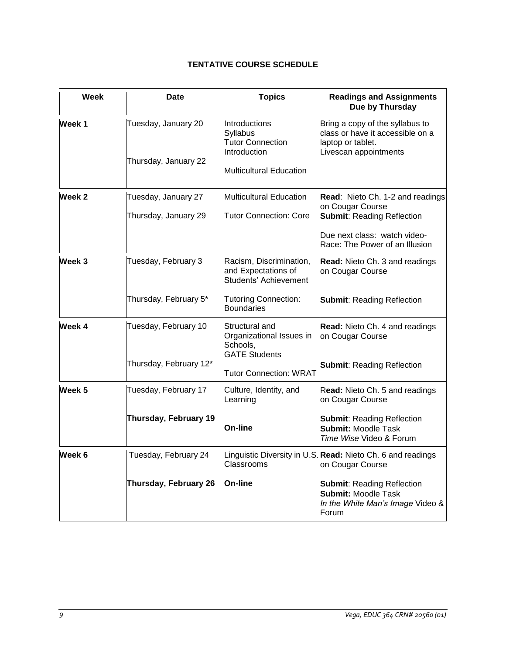# **TENTATIVE COURSE SCHEDULE**

| Week              | Date                                           | <b>Topics</b>                                                                                                               | <b>Readings and Assignments</b><br>Due by Thursday                                                                                                                                              |
|-------------------|------------------------------------------------|-----------------------------------------------------------------------------------------------------------------------------|-------------------------------------------------------------------------------------------------------------------------------------------------------------------------------------------------|
| Week <sub>1</sub> | Tuesday, January 20<br>Thursday, January 22    | Introductions<br><b>Syllabus</b><br><b>Tutor Connection</b><br>Introduction<br>Multicultural Education                      | Bring a copy of the syllabus to<br>class or have it accessible on a<br>laptop or tablet.<br>Livescan appointments                                                                               |
| Week 2            | Tuesday, January 27<br>Thursday, January 29    | <b>Multicultural Education</b><br><b>Tutor Connection: Core</b>                                                             | Read: Nieto Ch. 1-2 and readings<br>on Cougar Course<br><b>Submit: Reading Reflection</b><br>Due next class: watch video-<br>Race: The Power of an Illusion                                     |
| Week 3            | Tuesday, February 3<br>Thursday, February 5*   | Racism, Discrimination,<br>and Expectations of<br>Students' Achievement<br><b>Tutoring Connection:</b><br><b>Boundaries</b> | <b>Read:</b> Nieto Ch. 3 and readings<br>on Cougar Course<br><b>Submit: Reading Reflection</b>                                                                                                  |
| Week 4            | Tuesday, February 10<br>Thursday, February 12* | Structural and<br>Organizational Issues in<br>Schools,<br><b>GATE Students</b><br><b>Tutor Connection: WRAT</b>             | <b>Read:</b> Nieto Ch. 4 and readings<br>on Cougar Course<br><b>Submit: Reading Reflection</b>                                                                                                  |
| Week 5            | Tuesday, February 17<br>Thursday, February 19  | Culture, Identity, and<br>Learning<br><b>On-line</b>                                                                        | Read: Nieto Ch. 5 and readings<br>on Cougar Course<br><b>Submit: Reading Reflection</b><br><b>Submit: Moodle Task</b><br>Time Wise Video & Forum                                                |
| Week 6            | Tuesday, February 24<br>Thursday, February 26  | Classrooms<br>On-line                                                                                                       | Linguistic Diversity in U.S. Read: Nieto Ch. 6 and readings<br>on Cougar Course<br><b>Submit: Reading Reflection</b><br><b>Submit: Moodle Task</b><br>In the White Man's Image Video &<br>Forum |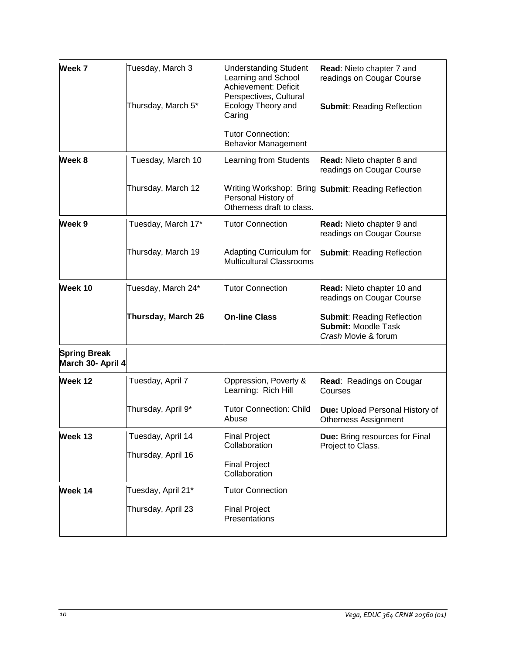| Week 7                                   | Tuesday, March 3<br>Thursday, March 5* | <b>Understanding Student</b><br>Learning and School<br>Achievement: Deficit<br>Perspectives, Cultural<br><b>Ecology Theory and</b><br>Caring<br>Tutor Connection:<br><b>Behavior Management</b> | Read: Nieto chapter 7 and<br>readings on Cougar Course<br><b>Submit: Reading Reflection</b> |
|------------------------------------------|----------------------------------------|-------------------------------------------------------------------------------------------------------------------------------------------------------------------------------------------------|---------------------------------------------------------------------------------------------|
| Week 8                                   | Tuesday, March 10                      | Learning from Students                                                                                                                                                                          | <b>Read:</b> Nieto chapter 8 and<br>readings on Cougar Course                               |
|                                          | Thursday, March 12                     | Personal History of<br>Otherness draft to class.                                                                                                                                                | Writing Workshop: Bring Submit: Reading Reflection                                          |
| Week 9                                   | Tuesday, March 17*                     | <b>Tutor Connection</b>                                                                                                                                                                         | <b>Read:</b> Nieto chapter 9 and<br>readings on Cougar Course                               |
|                                          | Thursday, March 19                     | Adapting Curriculum for<br>Multicultural Classrooms                                                                                                                                             | <b>Submit: Reading Reflection</b>                                                           |
| Week 10                                  | Tuesday, March 24*                     | <b>Tutor Connection</b>                                                                                                                                                                         | Read: Nieto chapter 10 and<br>readings on Cougar Course                                     |
|                                          | Thursday, March 26                     | <b>On-line Class</b>                                                                                                                                                                            | <b>Submit: Reading Reflection</b><br><b>Submit: Moodle Task</b><br>Crash Movie & forum      |
| <b>Spring Break</b><br>March 30- April 4 |                                        |                                                                                                                                                                                                 |                                                                                             |
| Week 12                                  | Tuesday, April 7                       | Oppression, Poverty &<br>Learning: Rich Hill                                                                                                                                                    | Read: Readings on Cougar<br>Courses                                                         |
|                                          | Thursday, April 9*                     | <b>Tutor Connection: Child</b><br>Abuse                                                                                                                                                         | Due: Upload Personal History of<br>Otherness Assignment                                     |
| Week 13                                  | Tuesday, April 14                      | <b>Final Project</b><br>Collaboration                                                                                                                                                           | <b>Due:</b> Bring resources for Final<br>Project to Class.                                  |
|                                          | Thursday, April 16                     | <b>Final Project</b><br>Collaboration                                                                                                                                                           |                                                                                             |
| Week 14                                  | Tuesday, April 21*                     | <b>Tutor Connection</b>                                                                                                                                                                         |                                                                                             |
|                                          | Thursday, April 23                     | <b>Final Project</b><br>Presentations                                                                                                                                                           |                                                                                             |